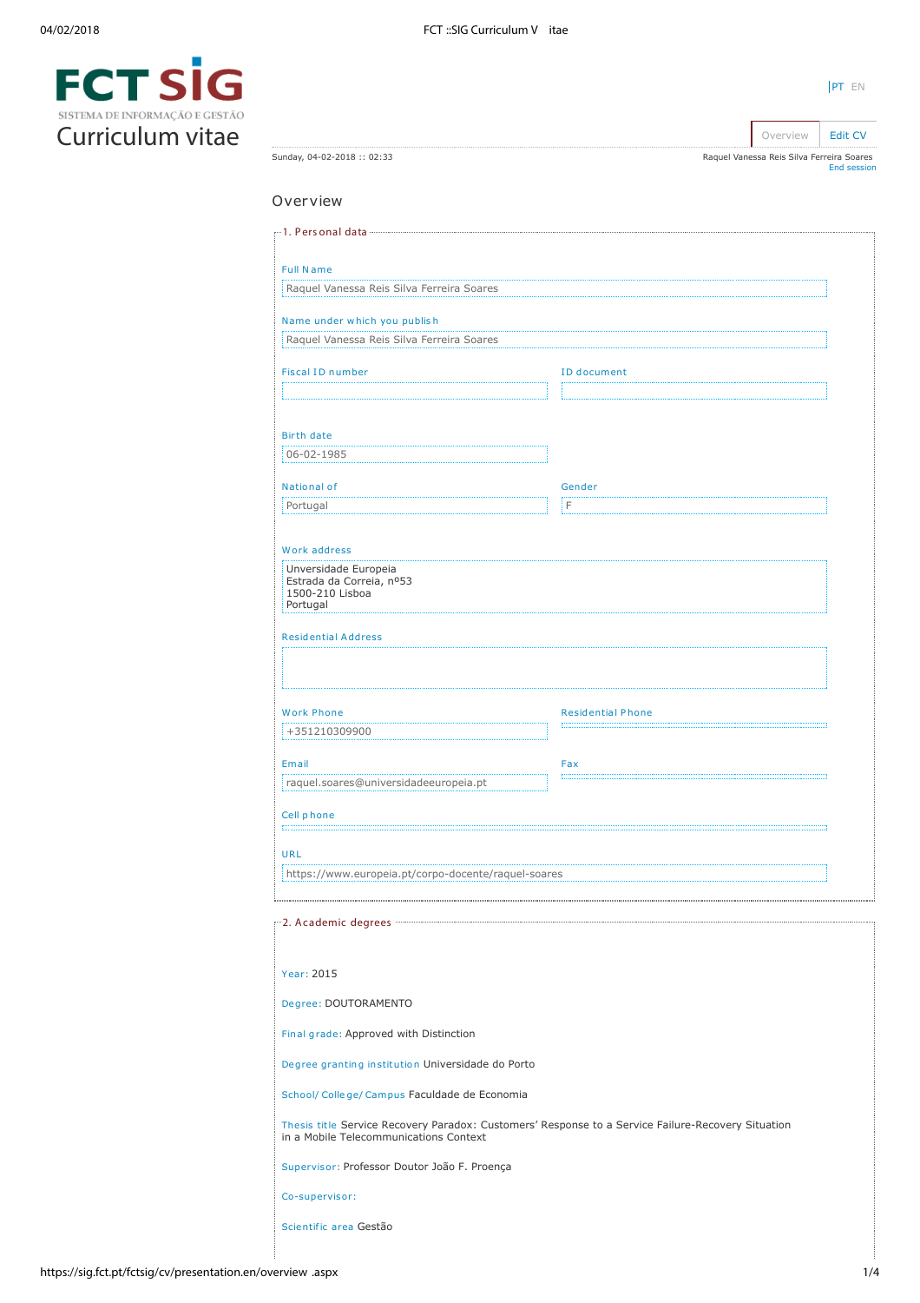| SISTEMA DE INFORMAÇÃO E GESTÃO |  |
|--------------------------------|--|
| Curriculum vitae               |  |

| Sunday, 04-02-2018: 02:33                                                                                                                    |                          | Raquel Vanessa Reis Silva Ferreira Soares<br><b>End session</b> |
|----------------------------------------------------------------------------------------------------------------------------------------------|--------------------------|-----------------------------------------------------------------|
| Overview                                                                                                                                     |                          |                                                                 |
|                                                                                                                                              |                          |                                                                 |
|                                                                                                                                              |                          |                                                                 |
| <b>Full Name</b><br>Raquel Vanessa Reis Silva Ferreira Soares                                                                                |                          |                                                                 |
|                                                                                                                                              |                          |                                                                 |
| Name under which you publish<br>Raquel Vanessa Reis Silva Ferreira Soares                                                                    |                          |                                                                 |
|                                                                                                                                              |                          |                                                                 |
| <b>Fiscal ID number</b>                                                                                                                      | <b>ID</b> document       |                                                                 |
|                                                                                                                                              |                          |                                                                 |
| Birth date                                                                                                                                   |                          |                                                                 |
| 06-02-1985                                                                                                                                   |                          |                                                                 |
| National of                                                                                                                                  | Gender                   |                                                                 |
| Portugal                                                                                                                                     | iΓ                       |                                                                 |
| Work address                                                                                                                                 |                          |                                                                 |
| Unversidade Europeia<br>Estrada da Correia, nº53<br>1500-210 Lisboa<br>Portugal                                                              |                          |                                                                 |
| <b>Residential Address</b>                                                                                                                   |                          |                                                                 |
|                                                                                                                                              |                          |                                                                 |
| <b>Work Phone</b>                                                                                                                            | <b>Residential Phone</b> |                                                                 |
| +351210309900                                                                                                                                |                          |                                                                 |
| Email                                                                                                                                        | Fax                      |                                                                 |
| raquel.soares@universidadeeuropeia.pt                                                                                                        |                          |                                                                 |
| Cell phone                                                                                                                                   |                          |                                                                 |
| <b>URL</b>                                                                                                                                   |                          |                                                                 |
| https://www.europeia.pt/corpo-docente/raquel-soares                                                                                          |                          |                                                                 |
|                                                                                                                                              |                          |                                                                 |
|                                                                                                                                              |                          |                                                                 |
| Year: 2015                                                                                                                                   |                          |                                                                 |
| Degree: DOUTORAMENTO                                                                                                                         |                          |                                                                 |
| Final grade: Approved with Distinction                                                                                                       |                          |                                                                 |
| Degree granting institution Universidade do Porto                                                                                            |                          |                                                                 |
| School/ College/ Campus Faculdade de Economia                                                                                                |                          |                                                                 |
| Thesis title Service Recovery Paradox: Customers' Response to a Service Failure-Recovery Situation<br>in a Mobile Telecommunications Context |                          |                                                                 |
| Supervisor: Professor Doutor João F. Proença                                                                                                 |                          |                                                                 |
| Co-supervisor:                                                                                                                               |                          |                                                                 |

Scientific area Gestão

[PT](https://sig.fct.pt/fctsig/cv/presentation.pt/overview.aspx) EN

Overview **[Edit CV](https://sig.fct.pt/fctsig/cv/presentation.en/editCV.aspx)**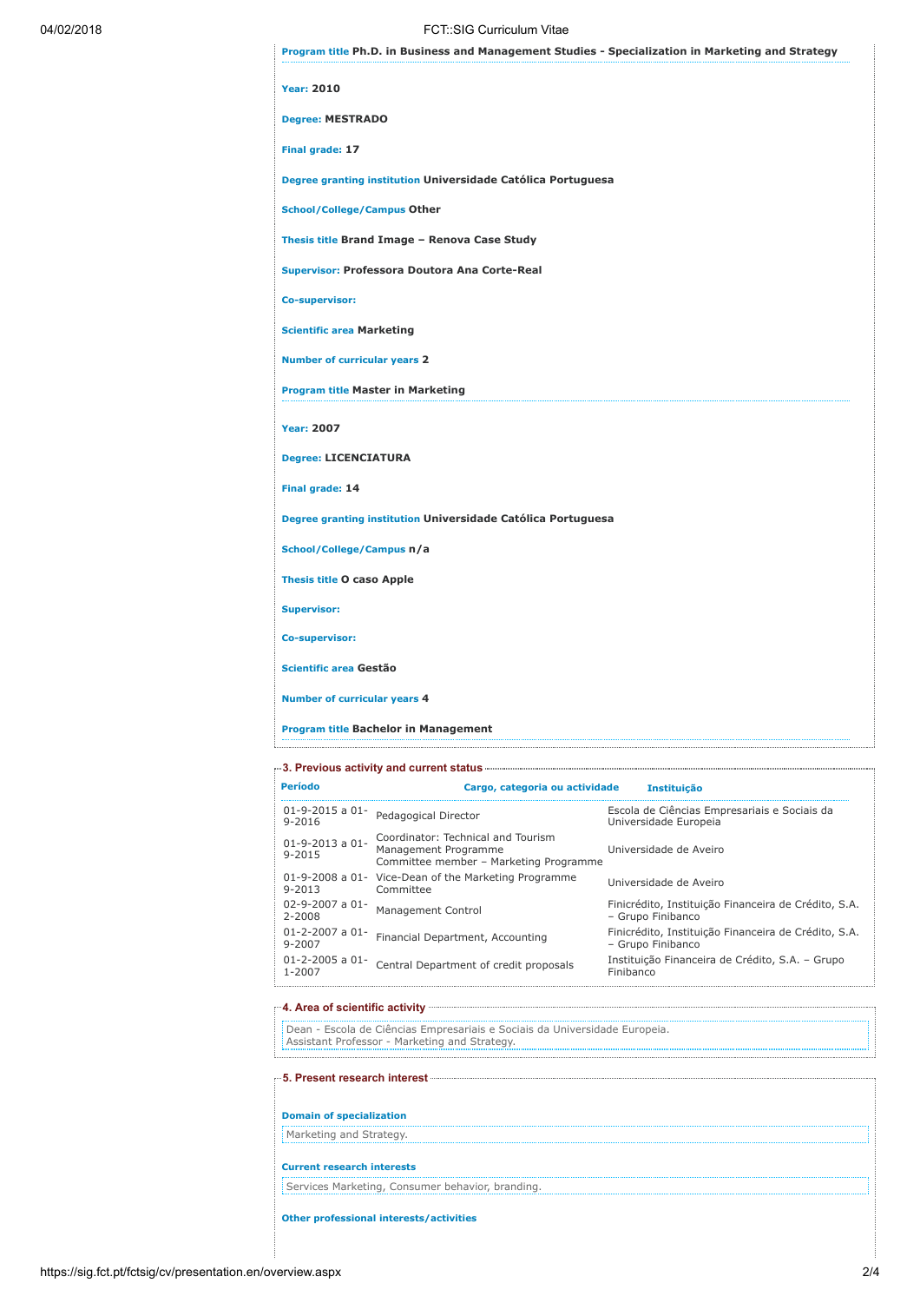# 04/02/2018 FCT::SIG Curriculum Vitae

| <b>Year: 2010</b>                                            |
|--------------------------------------------------------------|
| <b>Degree: MESTRADO</b>                                      |
| Final grade: 17                                              |
| Degree granting institution Universidade Católica Portuguesa |
| <b>School/College/Campus Other</b>                           |
| Thesis title Brand Image - Renova Case Study                 |
| Supervisor: Professora Doutora Ana Corte-Real                |
| Co-supervisor:                                               |
| <b>Scientific area Marketing</b>                             |
| <b>Number of curricular years 2</b>                          |
| <b>Program title Master in Marketing</b>                     |
| <b>Year: 2007</b>                                            |
| <b>Degree: LICENCIATURA</b>                                  |
| Final grade: 14                                              |
| Degree granting institution Universidade Católica Portuguesa |
| School/College/Campus n/a                                    |
| <b>Thesis title O caso Apple</b>                             |
| <b>Supervisor:</b>                                           |
| Co-supervisor:                                               |
| Scientific area Gestão                                       |
| <b>Number of curricular years 4</b>                          |

| —3. Previous activity and current status ————— |                                                                                                      |                                                                           |  |
|------------------------------------------------|------------------------------------------------------------------------------------------------------|---------------------------------------------------------------------------|--|
| Período                                        | Cargo, categoria ou actividade                                                                       | <b>Instituição</b>                                                        |  |
| $01 - 9 - 2015$ a $01 -$<br>$9 - 2016$         | Pedagogical Director                                                                                 | Escola de Ciências Empresariais e Sociais da<br>Universidade Europeia     |  |
| $01 - 9 - 2013$ a $01 -$<br>$9 - 2015$         | Coordinator: Technical and Tourism<br>Management Programme<br>Committee member - Marketing Programme | Universidade de Aveiro                                                    |  |
| $9 - 2013$                                     | 01-9-2008 a 01- Vice-Dean of the Marketing Programme<br>Committee                                    | Universidade de Aveiro                                                    |  |
| $02 - 9 - 2007$ a $01 -$<br>2-2008             | <b>Management Control</b>                                                                            | Finicrédito, Instituição Financeira de Crédito, S.A.<br>- Grupo Finibanco |  |
| $01 - 2 - 2007$ a $01 -$<br>9-2007             | Financial Department, Accounting                                                                     | Finicrédito, Instituição Financeira de Crédito, S.A.<br>- Grupo Finibanco |  |
| $01 - 2 - 2005$ a $01 -$<br>1-2007             | Central Department of credit proposals                                                               | Instituição Financeira de Crédito, S.A. - Grupo<br>Finibanco              |  |

4. Area of scientific activity Dean - Escola de Ciências Empresariais e Sociais da Universidade Europeia. Assistant Professor - Marketing and Strategy.

| <b>Domain of specialization</b>                  |  |
|--------------------------------------------------|--|
| Marketing and Strategy.                          |  |
| <b>Current research interests</b>                |  |
| Services Marketing, Consumer behavior, branding. |  |
| Other professional interests/activities          |  |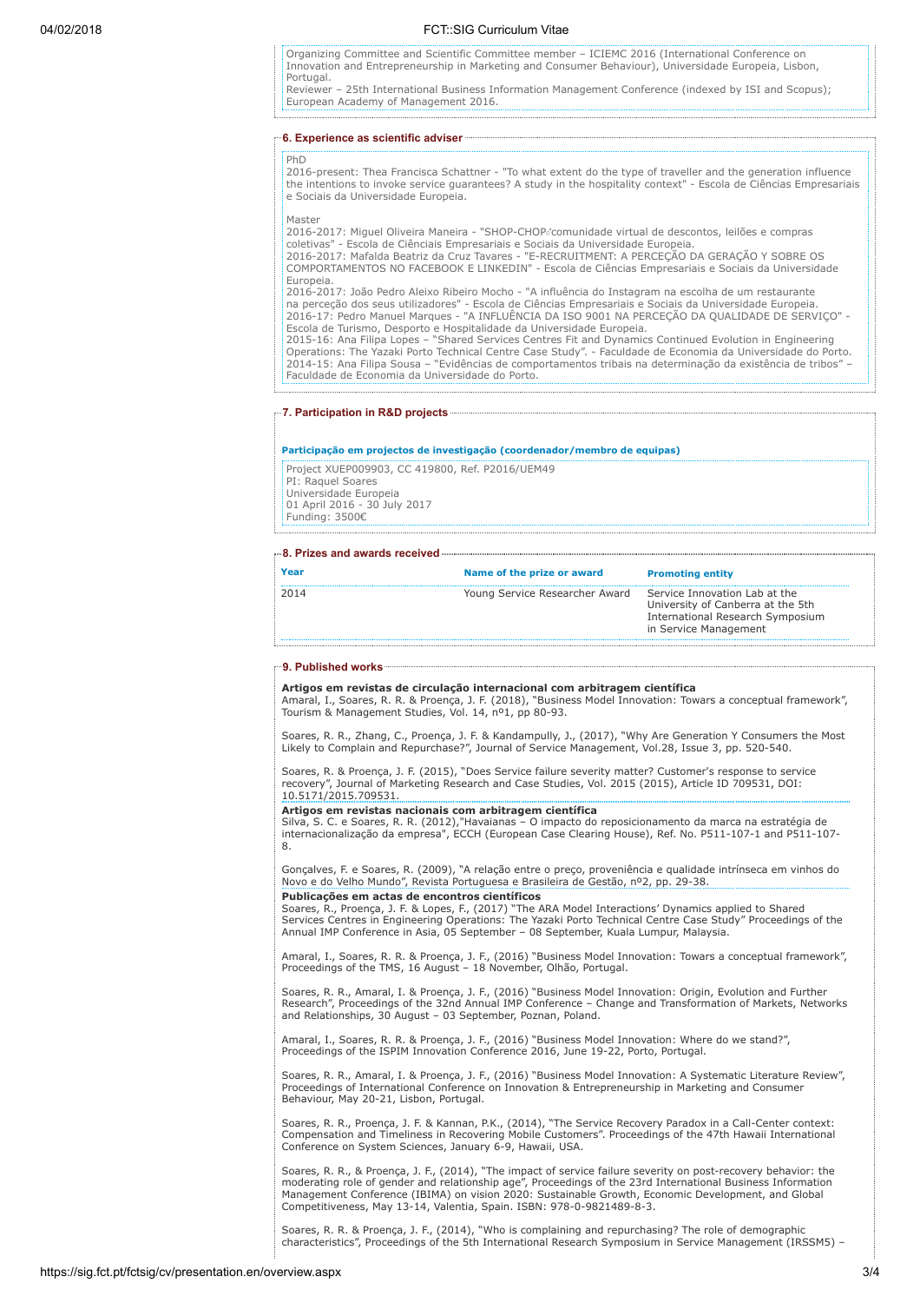## 04/02/2018 FCT::SIG Curriculum Vitae

Organizing Committee and Scientific Committee member – ICIEMC 2016 (International Conference on Innovation and Entrepreneurship in Marketing and Consumer Behaviour), Universidade Europeia, Lisbon, Portugal.

Reviewer – 25th International Business Information Management Conference (indexed by ISI and Scopus); European Academy of Management 2016.

## 6. Experience as scientific adviser

2016-present: Thea Francisca Schattner - "To what extent do the type of traveller and the generation influence the intentions to invoke service guarantees? A study in the hospitality context" - Escola de Ciências Empresariais e Sociais da Universidade Europeia.

Master

**PhD** 

2016-2017: Miguel Oliveira Maneira - "SHOP-CHOPcomunidade virtual de descontos, leilões e compras

coletivas" - Escola de Ciênciais Empresariais e Sociais da Universidade Europeia. 2016-2017: Mafalda Beatriz da Cruz Tavares - "E-RECRUITMENT: A PERCEÇÃO DA GERAÇÃO Y SOBRE OS COMPORTAMENTOS NO FACEBOOK E LINKEDIN" - Escola de Ciências Empresariais e Sociais da Universidade Europeia. 2016-2017: João Pedro Aleixo Ribeiro Mocho - "A influência do Instagram na escolha de um restaurante

na perceção dos seus utilizadores" - Escola de Ciências Empresariais e Sociais da Universidade Europeia. 2016-17: Pedro Manuel Marques - "A INFLUÊNCIA DA ISO 9001 NA PERCEÇÃO DA QUALIDADE DE SERVIÇO" -

Escola de Turismo, Desporto e Hospitalidade da Universidade Europeia. 2015-16: Ana Filipa Lopes – "Shared Services Centres Fit and Dynamics Continued Evolution in Engineering Operations: The Yazaki Porto Technical Centre Case Study". - Faculdade de Economia da Universidade do Porto. 2014-15: Ana Filipa Sousa – "Evidências de comportamentos tribais na determinação da existência de tribos" – Faculdade de Economia da Universidade do Porto.

## 7. Participation in R&D projects

### Participação em projectos de investigação (coordenador/membro de equipas)

Project XUEP009903, CC 419800, Ref. P2016/UEM49 PI: Raquel Soares Universidade Europeia 01 April 2016 - 30 July 2017 Funding: 3500€

#### 8. Prizes and awards received

| 2014                                                                                           | Year | Name of the prize or award     | <b>Promoting entity</b>       |
|------------------------------------------------------------------------------------------------|------|--------------------------------|-------------------------------|
| University of Canberra at the 5th<br>International Research Symposium<br>in Service Management |      | Young Service Researcher Award | Service Innovation Lab at the |

## 9. Published works

**Artigos em revistas de circulação internacional com arbitragem científica**<br>Amaral, I., Soares, R. R. & Proença, J. F. (2018), "Business Model Innovation: Towars a conceptual framework", Tourism & Management Studies, Vol. 14, nº1, pp 80-93.

Soares, R. R., Zhang, C., Proença, J. F. & Kandampully, J., (2017), "Why Are Generation Y Consumers the Most Likely to Complain and Repurchase?", Journal of Service Management, Vol.28, Issue 3, pp. 520-540.

Soares, R. & Proença, J. F. (2015), "Does Service failure severity matter? Customer's response to service<br>recovery", Journal of Marketing Research and Case Studies, Vol. 2015 (2015), Article ID 709531, DOI:<br>10.5171/2015.70

**Artigos em revistas nacionais com arbitragem científica**<br>Silva, S. C. e Soares, R. R. (2012),"Havaianas – O impacto do reposicionamento da marca na estratégia de internacionalização da empresa", ECCH (European Case Clearing House), Ref. No. P511-107-1 and P511-107- 8.

Gonçalves, F. e Soares, R. (2009), "A relação entre o preço, proveniência e qualidade intrínseca em vinhos do Novo e do Velho Mundo", Revista Portuguesa e Brasileira de Gestão, nº2, pp. 29-38.

#### Publicações em actas de encontros científicos

Soares, R., Proença, J. F. & Lopes, F., (2017) "The ARA Model Interactions' Dynamics applied to Shared Services Centres in Engineering Operations: The Yazaki Porto Technical Centre Case Study" Proceedings of the Annual IMP Conference in Asia, 05 September – 08 September, Kuala Lumpur, Malaysia.

Amaral, I., Soares, R. R. & Proença, J. F., (2016) "Business Model Innovation: Towars a conceptual framework", Proceedings of the TMS, 16 August – 18 November, Olhão, Portugal.

Soares, R. R., Amaral, I. & Proença, J. F., (2016) "Business Model Innovation: Origin, Evolution and Further Research", Proceedings of the 32nd Annual IMP Conference – Change and Transformation of Markets, Networks and Relationships, 30 August – 03 September, Poznan, Poland.

Amaral, I., Soares, R. R. & Proença, J. F., (2016) "Business Model Innovation: Where do we stand?", Proceedings of the ISPIM Innovation Conference 2016, June 19-22, Porto, Portugal.

Soares, R. R., Amaral, I. & Proença, J. F., (2016) "Business Model Innovation: A Systematic Literature Review",<br>Proceedings of International Conference on Innovation & Entrepreneurship in Marketing and Consumer Behaviour, May 20-21, Lisbon, Portugal.

Soares, R. R., Proença, J. F. & Kannan, P.K., (2014), "The Service Recovery Paradox in a Call-Center context: Compensation and Timeliness in Recovering Mobile Customers". Proceedings of the 47th Hawaii International Conference on System Sciences, January 6-9, Hawaii, USA.

Soares, R. R., & Proença, J. F., (2014), "The impact of service failure severity on post-recovery behavior: the moderating role of gender and relationship age", Proceedings of the 23rd International Business Information Management Conference (IBIMA) on vision 2020: Sustainable Growth, Economic Development, and Global Competitiveness, May 13-14, Valentia, Spain. ISBN: 978-0-9821489-8-3.

Soares, R. R. & Proença, J. F., (2014), "Who is complaining and repurchasing? The role of demographic characteristics", Proceedings of the 5th International Research Symposium in Service Management (IRSSM5) –